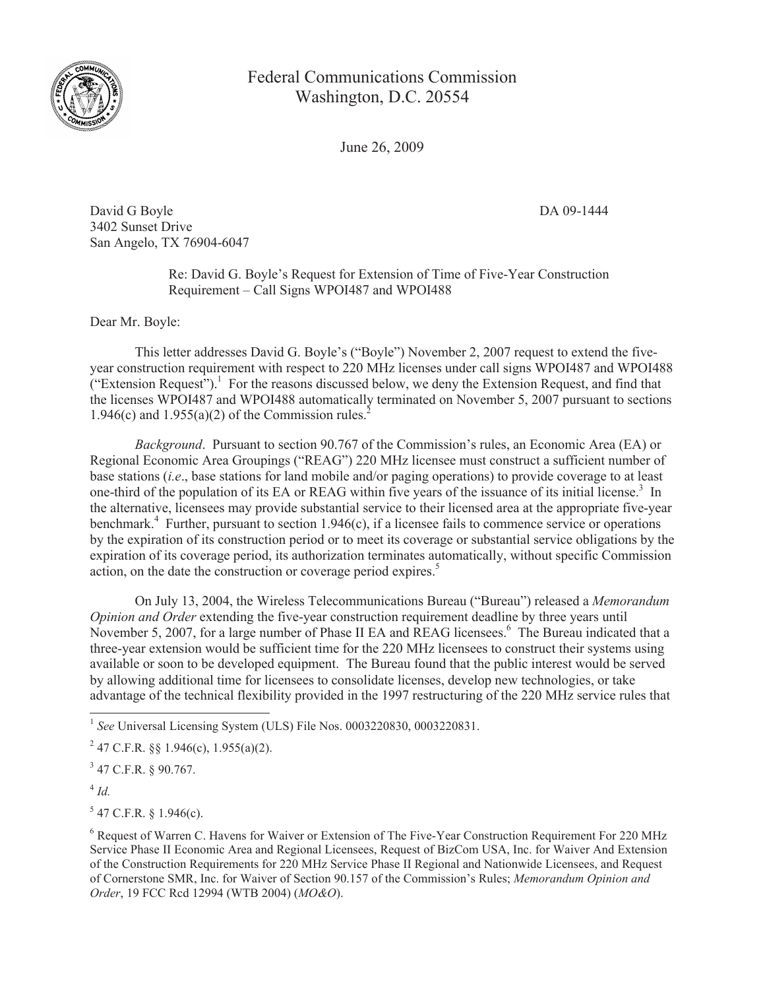

Federal Communications Commission Washington, D.C. 20554

June 26, 2009

David G Boyle DA 09-1444 3402 Sunset Drive San Angelo, TX 76904-6047

Re: David G. Boyle's Request for Extension of Time of Five-Year Construction Requirement – Call Signs WPOI487 and WPOI488

Dear Mr. Boyle:

This letter addresses David G. Boyle's ("Boyle") November 2, 2007 request to extend the fiveyear construction requirement with respect to 220 MHz licenses under call signs WPOI487 and WPOI488  $("Extension Request")$ .<sup>1</sup> For the reasons discussed below, we deny the Extension Request, and find that the licenses WPOI487 and WPOI488 automatically terminated on November 5, 2007 pursuant to sections 1.946(c) and 1.955(a)(2) of the Commission rules.<sup>2</sup>

*Background*. Pursuant to section 90.767 of the Commission's rules, an Economic Area (EA) or Regional Economic Area Groupings ("REAG") 220 MHz licensee must construct a sufficient number of base stations (*i.e*., base stations for land mobile and/or paging operations) to provide coverage to at least one-third of the population of its EA or REAG within five years of the issuance of its initial license.<sup>3</sup> In the alternative, licensees may provide substantial service to their licensed area at the appropriate five-year benchmark.<sup>4</sup> Further, pursuant to section 1.946(c), if a licensee fails to commence service or operations by the expiration of its construction period or to meet its coverage or substantial service obligations by the expiration of its coverage period, its authorization terminates automatically, without specific Commission action, on the date the construction or coverage period expires.<sup>5</sup>

On July 13, 2004, the Wireless Telecommunications Bureau ("Bureau") released a *Memorandum Opinion and Order* extending the five-year construction requirement deadline by three years until November 5, 2007, for a large number of Phase II EA and REAG licensees.<sup>6</sup> The Bureau indicated that a three-year extension would be sufficient time for the 220 MHz licensees to construct their systems using available or soon to be developed equipment. The Bureau found that the public interest would be served by allowing additional time for licensees to consolidate licenses, develop new technologies, or take advantage of the technical flexibility provided in the 1997 restructuring of the 220 MHz service rules that

4 *Id.* 

 $5$  47 C.F.R. § 1.946(c).

<sup>&</sup>lt;sup>1</sup> See Universal Licensing System (ULS) File Nos. 0003220830, 0003220831.

<sup>&</sup>lt;sup>2</sup> 47 C.F.R. §§ 1.946(c), 1.955(a)(2).

 $3$  47 C.F.R. § 90.767.

<sup>6</sup> Request of Warren C. Havens for Waiver or Extension of The Five-Year Construction Requirement For 220 MHz Service Phase II Economic Area and Regional Licensees, Request of BizCom USA, Inc. for Waiver And Extension of the Construction Requirements for 220 MHz Service Phase II Regional and Nationwide Licensees, and Request of Cornerstone SMR, Inc. for Waiver of Section 90.157 of the Commission's Rules; *Memorandum Opinion and Order*, 19 FCC Rcd 12994 (WTB 2004) (*MO&O*).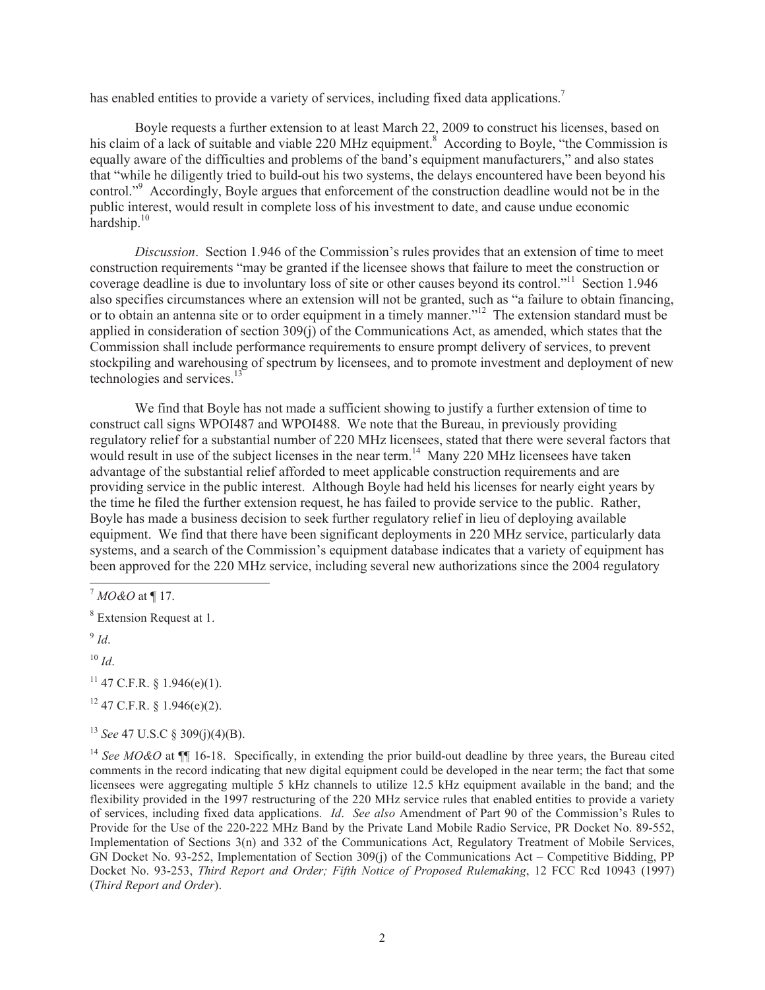has enabled entities to provide a variety of services, including fixed data applications.<sup>7</sup>

Boyle requests a further extension to at least March 22, 2009 to construct his licenses, based on his claim of a lack of suitable and viable 220 MHz equipment.<sup>8</sup> According to Boyle, "the Commission is equally aware of the difficulties and problems of the band's equipment manufacturers," and also states that "while he diligently tried to build-out his two systems, the delays encountered have been beyond his control."<sup>9</sup> Accordingly, Boyle argues that enforcement of the construction deadline would not be in the public interest, would result in complete loss of his investment to date, and cause undue economic hardship. $10<sup>10</sup>$ 

*Discussion*. Section 1.946 of the Commission's rules provides that an extension of time to meet construction requirements "may be granted if the licensee shows that failure to meet the construction or coverage deadline is due to involuntary loss of site or other causes beyond its control."<sup>11</sup> Section 1.946 also specifies circumstances where an extension will not be granted, such as "a failure to obtain financing, or to obtain an antenna site or to order equipment in a timely manner."<sup>12</sup> The extension standard must be applied in consideration of section 309(j) of the Communications Act, as amended, which states that the Commission shall include performance requirements to ensure prompt delivery of services, to prevent stockpiling and warehousing of spectrum by licensees, and to promote investment and deployment of new technologies and services.<sup>13</sup>

We find that Boyle has not made a sufficient showing to justify a further extension of time to construct call signs WPOI487 and WPOI488. We note that the Bureau, in previously providing regulatory relief for a substantial number of 220 MHz licensees, stated that there were several factors that would result in use of the subject licenses in the near term.<sup>14</sup> Many 220 MHz licensees have taken advantage of the substantial relief afforded to meet applicable construction requirements and are providing service in the public interest. Although Boyle had held his licenses for nearly eight years by the time he filed the further extension request, he has failed to provide service to the public. Rather, Boyle has made a business decision to seek further regulatory relief in lieu of deploying available equipment. We find that there have been significant deployments in 220 MHz service, particularly data systems, and a search of the Commission's equipment database indicates that a variety of equipment has been approved for the 220 MHz service, including several new authorizations since the 2004 regulatory

 $10 \,$ *Id.* 

 $11$  47 C.F.R. § 1.946(e)(1).

 $12$  47 C.F.R. § 1.946(e)(2).

<sup>13</sup> *See* 47 U.S.C § 309(j)(4)(B).

<sup>14</sup> See MO&O at  $\P$  16-18. Specifically, in extending the prior build-out deadline by three years, the Bureau cited comments in the record indicating that new digital equipment could be developed in the near term; the fact that some licensees were aggregating multiple 5 kHz channels to utilize 12.5 kHz equipment available in the band; and the flexibility provided in the 1997 restructuring of the 220 MHz service rules that enabled entities to provide a variety of services, including fixed data applications. *Id*. *See also* Amendment of Part 90 of the Commission's Rules to Provide for the Use of the 220-222 MHz Band by the Private Land Mobile Radio Service, PR Docket No. 89-552, Implementation of Sections 3(n) and 332 of the Communications Act, Regulatory Treatment of Mobile Services, GN Docket No. 93-252, Implementation of Section 309(j) of the Communications Act – Competitive Bidding, PP Docket No. 93-253, *Third Report and Order; Fifth Notice of Proposed Rulemaking*, 12 FCC Rcd 10943 (1997) (*Third Report and Order*).

<sup>7</sup> *MO&O* at ¶ 17.

<sup>8</sup> Extension Request at 1.

<sup>9</sup> *Id*.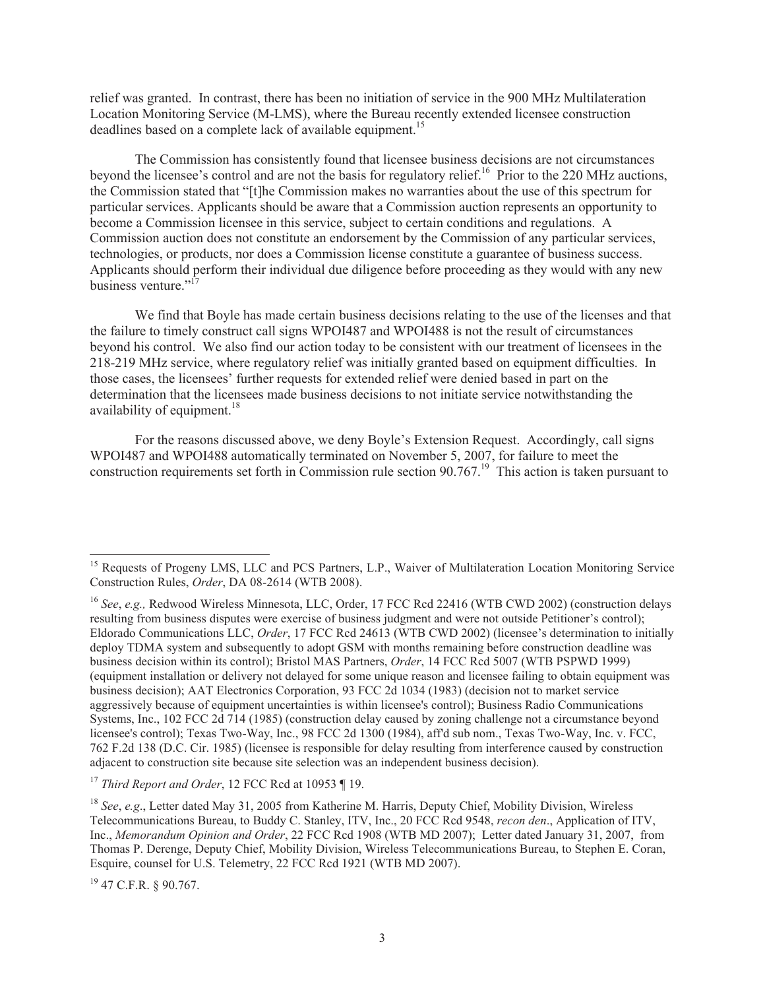relief was granted. In contrast, there has been no initiation of service in the 900 MHz Multilateration Location Monitoring Service (M-LMS), where the Bureau recently extended licensee construction deadlines based on a complete lack of available equipment.<sup>15</sup>

The Commission has consistently found that licensee business decisions are not circumstances beyond the licensee's control and are not the basis for regulatory relief.<sup>16</sup> Prior to the 220 MHz auctions, the Commission stated that "[t]he Commission makes no warranties about the use of this spectrum for particular services. Applicants should be aware that a Commission auction represents an opportunity to become a Commission licensee in this service, subject to certain conditions and regulations. A Commission auction does not constitute an endorsement by the Commission of any particular services, technologies, or products, nor does a Commission license constitute a guarantee of business success. Applicants should perform their individual due diligence before proceeding as they would with any new business venture."<sup>17</sup>

We find that Boyle has made certain business decisions relating to the use of the licenses and that the failure to timely construct call signs WPOI487 and WPOI488 is not the result of circumstances beyond his control. We also find our action today to be consistent with our treatment of licensees in the 218-219 MHz service, where regulatory relief was initially granted based on equipment difficulties. In those cases, the licensees' further requests for extended relief were denied based in part on the determination that the licensees made business decisions to not initiate service notwithstanding the availability of equipment. $18$ 

For the reasons discussed above, we deny Boyle's Extension Request. Accordingly, call signs WPOI487 and WPOI488 automatically terminated on November 5, 2007, for failure to meet the construction requirements set forth in Commission rule section 90.767.<sup>19</sup> This action is taken pursuant to

 $19$  47 C.F.R. § 90.767.

<sup>&</sup>lt;sup>15</sup> Requests of Progeny LMS, LLC and PCS Partners, L.P., Waiver of Multilateration Location Monitoring Service Construction Rules, *Order*, DA 08-2614 (WTB 2008).

<sup>&</sup>lt;sup>16</sup> *See*, *e.g.*, Redwood Wireless Minnesota, LLC, Order, 17 FCC Rcd 22416 (WTB CWD 2002) (construction delays resulting from business disputes were exercise of business judgment and were not outside Petitioner's control); Eldorado Communications LLC, *Order*, 17 FCC Rcd 24613 (WTB CWD 2002) (licensee's determination to initially deploy TDMA system and subsequently to adopt GSM with months remaining before construction deadline was business decision within its control); Bristol MAS Partners, *Order*, 14 FCC Rcd 5007 (WTB PSPWD 1999) (equipment installation or delivery not delayed for some unique reason and licensee failing to obtain equipment was business decision); AAT Electronics Corporation, 93 FCC 2d 1034 (1983) (decision not to market service aggressively because of equipment uncertainties is within licensee's control); Business Radio Communications Systems, Inc., 102 FCC 2d 714 (1985) (construction delay caused by zoning challenge not a circumstance beyond licensee's control); Texas Two-Way, Inc., 98 FCC 2d 1300 (1984), aff'd sub nom., Texas Two-Way, Inc. v. FCC, 762 F.2d 138 (D.C. Cir. 1985) (licensee is responsible for delay resulting from interference caused by construction adjacent to construction site because site selection was an independent business decision).

<sup>17</sup> *Third Report and Order*, 12 FCC Rcd at 10953 ¶ 19.

<sup>18</sup> *See*, *e.g*., Letter dated May 31, 2005 from Katherine M. Harris, Deputy Chief, Mobility Division, Wireless Telecommunications Bureau, to Buddy C. Stanley, ITV, Inc., 20 FCC Rcd 9548, *recon den*., Application of ITV, Inc., *Memorandum Opinion and Order*, 22 FCC Rcd 1908 (WTB MD 2007); Letter dated January 31, 2007, from Thomas P. Derenge, Deputy Chief, Mobility Division, Wireless Telecommunications Bureau, to Stephen E. Coran, Esquire, counsel for U.S. Telemetry, 22 FCC Rcd 1921 (WTB MD 2007).